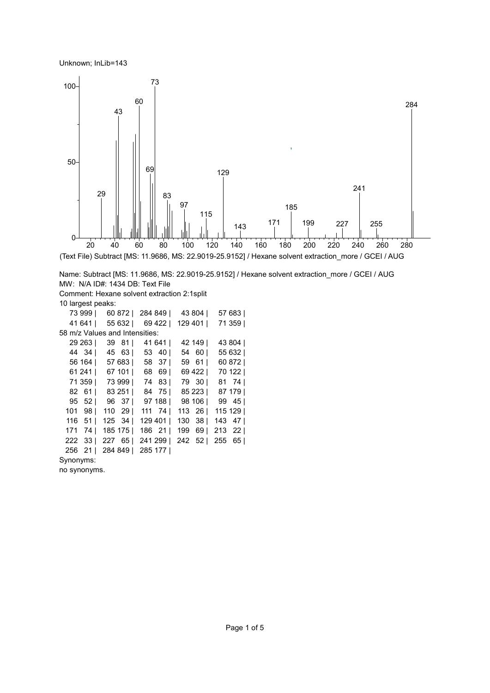Unknown; InLib=143



Name: Subtract [MS: 11.9686, MS: 22.9019-25.9152] / Hexane solvent extraction\_more / GCEI / AUG MW: N/A ID#: 1434 DB: Text File Comment: Hexane solvent extraction 2:1split 10 largest peaks: 999 | 60 872 | 284 849 | 43 804 | 57 683 | 641 | 55 632 | 69 422 | 129 401 | 71 359 | 58 m/z Values and Intensities: 263 | 39 81 | 41 641 | 42 149 | 43 804 | 44 34 | 45 63 | 53 40 | 54 60 | 55 632 | 164 | 57 683 | 58 37 | 59 61 | 60 872 | 241 | 67 101 | 68 69 | 69 422 | 70 122 | 359 | 73 999 | 74 83 | 79 30 | 81 74 | 61 | 83 251 | 84 75 | 85 223 | 87 179 | 52 | 96 37 | 97 188 | 98 106 | 99 45 | 98 | 110 29 | 111 74 | 113 26 | 115 129 | 51 | 125 34 | 129 401 | 130 38 | 143 47 | 74 | 185 175 | 186 21 | 199 69 | 213 22 | 33 | 227 65 | 241 299 | 242 52 | 255 65 | 21 | 284 849 | 285 177 |

Synonyms:

no synonyms.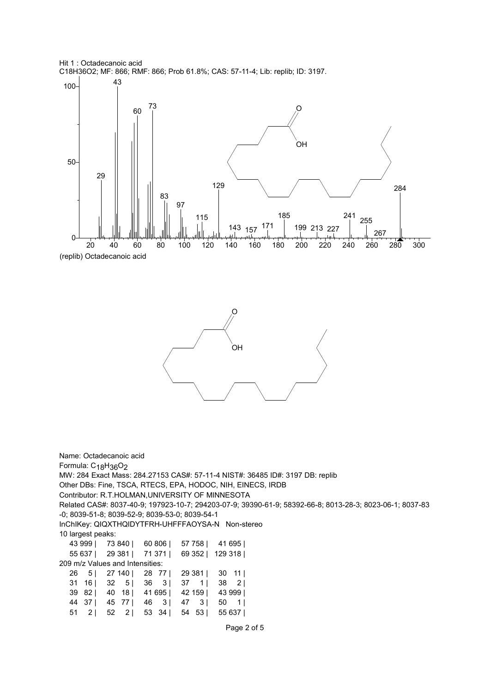Hit 1 : Octadecanoic acid C18H36O2; MF: 866; RMF: 866; Prob 61.8%; CAS: 57-11-4; Lib: replib; ID: 3197.





Name: Octadecanoic acid Formula: C<sub>18</sub>H<sub>36</sub>O<sub>2</sub> MW: 284 Exact Mass: 284.27153 CAS#: 57-11-4 NIST#: 36485 ID#: 3197 DB: replib Other DBs: Fine, TSCA, RTECS, EPA, HODOC, NIH, EINECS, IRDB Contributor: R.T.HOLMAN,UNIVERSITY OF MINNESOTA Related CAS#: 8037-40-9; 197923-10-7; 294203-07-9; 39390-61-9; 58392-66-8; 8013-28-3; 8023-06-1; 8037-83 -0; 8039-51-8; 8039-52-9; 8039-53-0; 8039-54-1 InChIKey: QIQXTHQIDYTFRH-UHFFFAOYSA-N Non-stereo 10 largest peaks: 43 999 | 73 840 | 60 806 | 57 758 | 41 695 | 55 637 | 29 381 | 71 371 | 69 352 | 129 318 | 209 m/z Values and Intensities: 26 5 | 27 140 | 28 77 | 29 381 | 30 11 | 31 16 | 32 5 | 36 3 | 37 1 | 38 2 | 39 82 | 40 18 | 41 695 | 42 159 | 43 999 | 44 37 | 45 77 | 46 3 | 47 3 | 50 1 | 51 2 | 52 2 | 53 34 | 54 53 | 55 637 |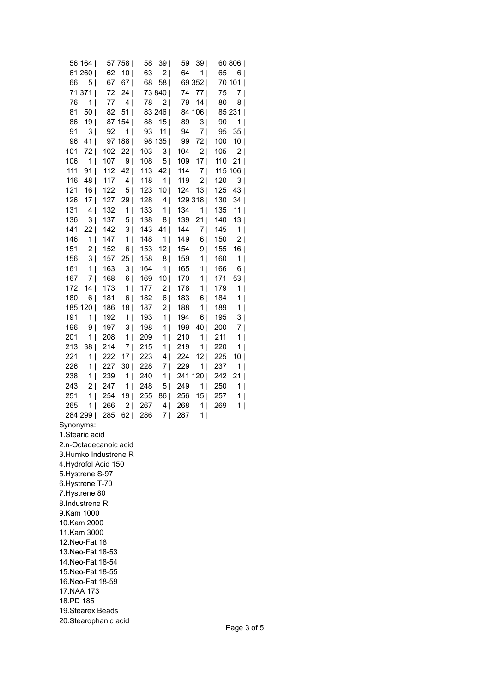|                                        | 56 164                |                       | 57 758                        | 58         | 39             | 59         | 39 I              |            | 60 806  |  |
|----------------------------------------|-----------------------|-----------------------|-------------------------------|------------|----------------|------------|-------------------|------------|---------|--|
|                                        | 61 260                | 62                    | 10                            | 63         | 2              | 64         | 1                 | 65         | 6       |  |
| 66 —                                   | 5                     | 67                    | 67                            | 68         | 58             |            | 69 352            |            | 70 101  |  |
|                                        | 71 371                | 72                    | 24                            |            | 73 840         | 74         | 77                | 75         | 7       |  |
| 76                                     | 1                     | 77                    | 4                             | 78         | 2              | 79         | 14                | 80         | 8       |  |
| 81                                     | 50                    | 82                    | 51                            |            | 83 246         |            | 84 106            |            | 85 231  |  |
| 86                                     | 19                    |                       | 87 154                        | 88         | 15             | 89         | 3                 | 90         | 1       |  |
| 91                                     | 3                     | 92                    | 1                             | 93         | 11             | 94         | 7                 | 95         | 35      |  |
| 96                                     | 41                    |                       | 97 188                        |            | 98 135         | 99         | 72                | 100        | 10      |  |
| 101                                    | 72                    | 102                   | 22                            | 103        | 3              | 104        | 2                 | 105        | 2       |  |
| 106                                    | 1                     | 107                   | 9                             | 108        | 5              | 109        | 17                | 110        | 21      |  |
| 111                                    | 91                    | 112                   | 42                            | 113        | 42             | 114        | 7                 |            | 115 106 |  |
| 116                                    | 48                    | 117                   | 4                             | 118        | 1              | 119        | 2                 | 120        | 3       |  |
| 121                                    | 16                    | 122                   | 5                             | 123        | 10             | 124        | 13                | 125        | 43      |  |
| 126                                    | 17                    | 127                   | 29                            | 128        | 4              |            | 129 318           | 130        | 34      |  |
| 131                                    | 4                     | 132                   | 1                             | 133        | 1              | 134        | 1                 | 135        | 11      |  |
| 136                                    | 3                     | 137                   | 5                             | 138        | 8              | 139        | 21                | 140        | 13      |  |
| 141                                    | 22                    | 142                   | 3                             | 143        | 41             | 144        | 7                 | 145        | 1       |  |
| 146                                    | 1                     | 147                   | 1                             | 148        | 1              | 149        | 6                 | 150        | 2       |  |
| 151                                    | 2                     | 152                   | 6                             | 153        | 12             | 154        | 9                 | 155        | 16      |  |
| 156                                    | 3                     | 157                   | 25                            | 158        | 8              | 159        | 1                 | 160        | 1       |  |
| 161                                    | 1                     | 163                   | 3                             | 164        | 1              | 165        | 1                 | 166        | 6       |  |
| 167                                    | 7                     | 168                   | 6                             | 169        | 10             | 170        | 1                 | 171        | 53      |  |
| 172<br>180                             | 14 <br>6              | 173<br>181            | 1                             | 177        | 2              | 178<br>183 | 1 <br>6           | 179<br>184 | 1 <br>1 |  |
|                                        |                       | 186                   | 6 <br>18                      | 182<br>187 | 6  <br>2       | 188        | 1                 | 189        | 1       |  |
| 191                                    | 185 120  <br>1        | 192                   | 1                             | 193        | 1              | 194        | 6                 | 195        | 3       |  |
| 196                                    | 9                     | 197                   | 3                             | 198        | 1              | 199        | 40                | 200        | 7       |  |
| 201                                    | 1                     | 208                   | 1                             | 209        | 1              | 210        | 1                 | 211        | 1       |  |
| 213                                    | 38                    | 214                   | 7                             | 215        | 1              | 219        | 1                 | 220        | 1       |  |
| 221                                    | 1                     | 222                   | 17                            | 223        | 4              | 224        | 12                | 225        | 10      |  |
| 226                                    | 1                     | 227                   | 30                            | 228        | 7              | 229        | 1                 | 237        | 1       |  |
| 238                                    | 1                     | 239                   | 1                             | 240        | 1              | 241 120    |                   | 242        | 21      |  |
| 243                                    | 2                     | 247                   | 1<br>$\overline{\phantom{a}}$ | 248        | 5              | 249        | 1                 | 250        | 1       |  |
| 251                                    | 1                     | 254                   | 19                            | 255        | 86             | 256        | 15                | 257        | 1       |  |
| 265                                    | 1 <sup>1</sup>        | 266                   | 2                             | 267        | 4              | 268        | 1<br>$\mathbf{I}$ | 269        | 1       |  |
| 284 299                                |                       | 285                   | 62                            | 286        | 7 <sub>1</sub> | 287        | 1                 |            |         |  |
| Synonyms:                              |                       |                       |                               |            |                |            |                   |            |         |  |
| 1.Stearic acid                         |                       |                       |                               |            |                |            |                   |            |         |  |
|                                        |                       | 2.n-Octadecanoic acid |                               |            |                |            |                   |            |         |  |
|                                        |                       | 3.Humko Industrene R  |                               |            |                |            |                   |            |         |  |
| 4. Hydrofol Acid 150                   |                       |                       |                               |            |                |            |                   |            |         |  |
| 5. Hystrene S-97                       |                       |                       |                               |            |                |            |                   |            |         |  |
| 6.Hystrene T-70                        |                       |                       |                               |            |                |            |                   |            |         |  |
| 7. Hystrene 80                         |                       |                       |                               |            |                |            |                   |            |         |  |
| 8.Industrene R                         |                       |                       |                               |            |                |            |                   |            |         |  |
| 9.Kam 1000                             |                       |                       |                               |            |                |            |                   |            |         |  |
| 10.Kam 2000                            |                       |                       |                               |            |                |            |                   |            |         |  |
| 11.Kam 3000                            |                       |                       |                               |            |                |            |                   |            |         |  |
| 12.Neo-Fat 18                          |                       |                       |                               |            |                |            |                   |            |         |  |
| 13.Neo-Fat 18-53                       |                       |                       |                               |            |                |            |                   |            |         |  |
| 14. Neo-Fat 18-54<br>15. Neo-Fat 18-55 |                       |                       |                               |            |                |            |                   |            |         |  |
|                                        |                       |                       |                               |            |                |            |                   |            |         |  |
| 16. Neo-Fat 18-59                      |                       |                       |                               |            |                |            |                   |            |         |  |
| 17.NAA 173<br>18.PD 185                |                       |                       |                               |            |                |            |                   |            |         |  |
|                                        |                       |                       |                               |            |                |            |                   |            |         |  |
| 19.Stearex Beads                       |                       |                       |                               |            |                |            |                   |            |         |  |
|                                        | 20. Stearophanic acid |                       |                               |            |                |            |                   |            |         |  |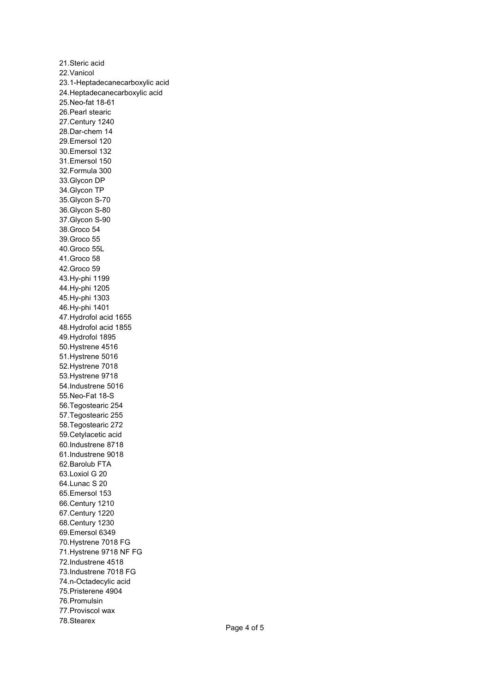21.Steric acid 22.Vanicol 23.1-Heptadecanecarboxylic acid 24.Heptadecanecarboxylic acid 25.Neo-fat 18-61 26.Pearl stearic 27.Century 1240 28.Dar-chem 14 29.Emersol 120 30.Emersol 132 31.Emersol 150 32.Formula 300 33.Glycon DP 34.Glycon TP 35.Glycon S-70 36.Glycon S-80 37.Glycon S-90 38.Groco 54 39.Groco 55 40.Groco 55L 41.Groco 58 42.Groco 59 43.Hy-phi 1199 44.Hy-phi 1205 45.Hy-phi 1303 46.Hy-phi 1401 47.Hydrofol acid 1655 48.Hydrofol acid 1855 49.Hydrofol 1895 50.Hystrene 4516 51.Hystrene 5016 52.Hystrene 7018 53.Hystrene 9718 54.Industrene 5016 55.Neo-Fat 18-S 56.Tegostearic 254 57.Tegostearic 255 58.Tegostearic 272 59.Cetylacetic acid 60.Industrene 8718 61.Industrene 9018 62.Barolub FTA 63.Loxiol G 20 64.Lunac S 20 65.Emersol 153 66.Century 1210 67.Century 1220 68.Century 1230 69.Emersol 6349 70.Hystrene 7018 FG 71.Hystrene 9718 NF FG 72.Industrene 4518 73.Industrene 7018 FG 74.n-Octadecylic acid 75.Pristerene 4904 76.Promulsin 77.Proviscol wax 78.Stearex